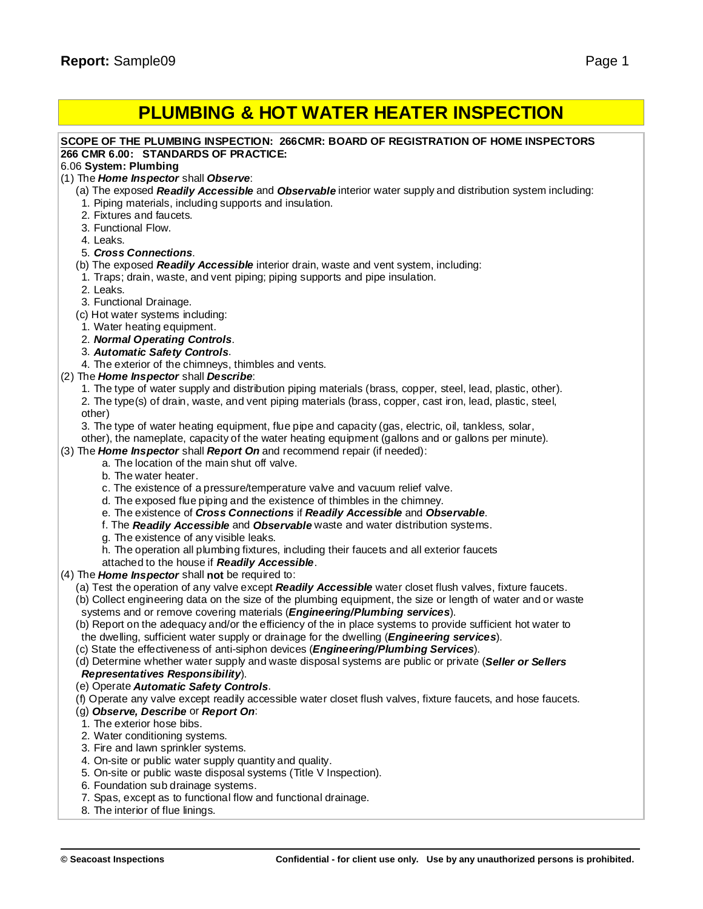# **PLUMBING & HOT WATER HEATER INSPECTION**

### **SCOPE OF THE PLUMBING INSPECTION: 266CMR: BOARD OF REGISTRATION OF HOME INSPECTORS 266 CMR 6.00: STANDARDS OF PRACTICE:**

### 6.06 **System: Plumbing**

- (1) The *Home Inspector* shall *Observe*:
	- (a) The exposed *Readily Accessible* and *Observable* interior water supply and distribution system including:
	- 1. Piping materials, including supports and insulation.
	- 2. Fixtures and faucets.
	- 3. Functional Flow.
	- 4. Leaks.

### 5. *Cross Connections*.

- (b) The exposed *Readily Accessible* interior drain, waste and vent system, including:
- 1. Traps; drain, waste, and vent piping; piping supports and pipe insulation.
- 2. Leaks.
- 3. Functional Drainage.
- (c) Hot water systems including:
- 1. Water heating equipment.
- 2. *Normal Operating Controls*.
- 3. *Automatic Safety Controls*.
- 4. The exterior of the chimneys, thimbles and vents.
- (2) The *Home Inspector* shall *Describe*:
	- 1. The type of water supply and distribution piping materials (brass, copper, steel, lead, plastic, other). 2. The type(s) of drain, waste, and vent piping materials (brass, copper, cast iron, lead, plastic, steel, other)
	- 3. The type of water heating equipment, flue pipe and capacity (gas, electric, oil, tankless, solar,
	- other), the nameplate, capacity of the water heating equipment (gallons and or gallons per minute).
- (3) The *Home Inspector* shall *Report On* and recommend repair (if needed):
	- a. The location of the main shut off valve.
	- b. The water heater.
	- c. The existence of a pressure/temperature valve and vacuum relief valve.
	- d. The exposed flue piping and the existence of thimbles in the chimney.
	- e. The existence of *Cross Connections* if *Readily Accessible* and *Observable*.
	- f. The *Readily Accessible* and *Observable* waste and water distribution systems.
	- g. The existence of any visible leaks.
	- h. The operation all plumbing fixtures, including their faucets and all exterior faucets
	- attached to the house if *Readily Accessible*.
- (4) The *Home Inspector* shall **not** be required to:
	- (a) Test the operation of any valve except *Readily Accessible* water closet flush valves, fixture faucets.
	- (b) Collect engineering data on the size of the plumbing equipment, the size or length of water and or waste systems and or remove covering materials (*Engineering/Plumbing services*).
	- (b) Report on the adequacy and/or the efficiency of the in place systems to provide sufficient hot water to the dwelling, sufficient water supply or drainage for the dwelling (*Engineering services*).
	- (c) State the effectiveness of anti-siphon devices (*Engineering/Plumbing Services*).
	- (d) Determine whether water supply and waste disposal systems are public or private (*Seller or Sellers*

### *Representatives Responsibility*).

- (e) Operate *Automatic Safety Controls*.
- (f) Operate any valve except readily accessible water closet flush valves, fixture faucets, and hose faucets.

### (g) *Observe, Describe* or *Report On*:

- 1. The exterior hose bibs.
- 2. Water conditioning systems.
- 3. Fire and lawn sprinkler systems.
- 4. On-site or public water supply quantity and quality.
- 5. On-site or public waste disposal systems (Title V Inspection).
- 6. Foundation sub drainage systems.
- 7. Spas, except as to functional flow and functional drainage.
- 8. The interior of flue linings.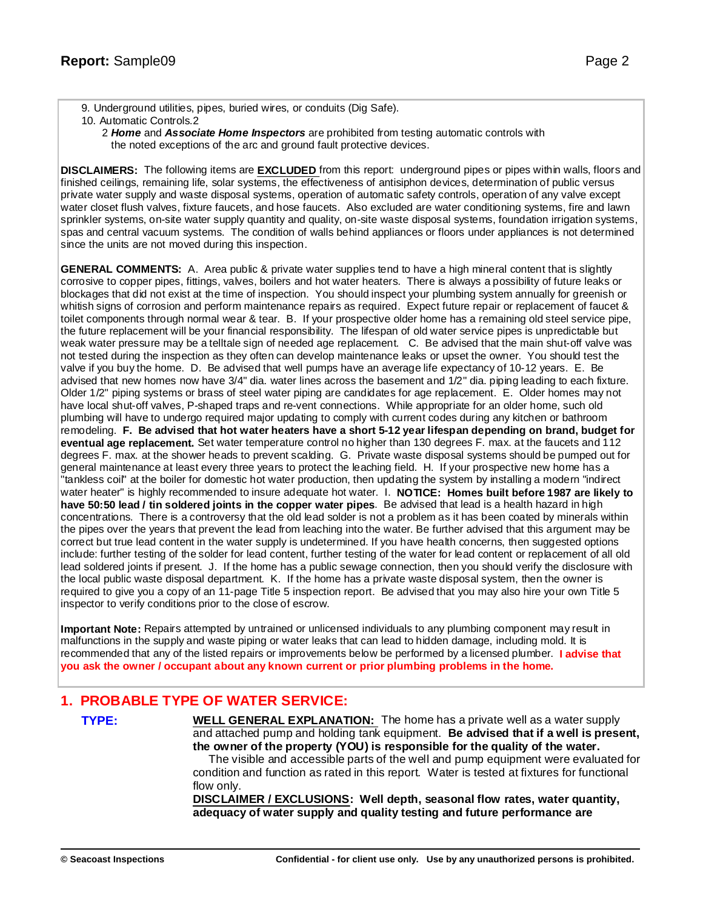- 9. Underground utilities, pipes, buried wires, or conduits (Dig Safe).
- 10. Automatic Controls.2
	- 2 *Home* and *Associate Home Inspectors* are prohibited from testing automatic controls with the noted exceptions of the arc and ground fault protective devices.

**DISCLAIMERS:** The following items are **EXCLUDED** from this report: underground pipes or pipes within walls, floors and finished ceilings, remaining life, solar systems, the effectiveness of antisiphon devices, determination of public versus private water supply and waste disposal systems, operation of automatic safety controls, operation of any valve except water closet flush valves, fixture faucets, and hose faucets. Also excluded are water conditioning systems, fire and lawn sprinkler systems, on-site water supply quantity and quality, on-site waste disposal systems, foundation irrigation systems, spas and central vacuum systems. The condition of walls behind appliances or floors under appliances is not determined since the units are not moved during this inspection.

**GENERAL COMMENTS:** A. Area public & private water supplies tend to have a high mineral content that is slightly corrosive to copper pipes, fittings, valves, boilers and hot water heaters. There is always a possibility of future leaks or blockages that did not exist at the time of inspection. You should inspect your plumbing system annually for greenish or whitish signs of corrosion and perform maintenance repairs as required. Expect future repair or replacement of faucet & toilet components through normal wear & tear. B. If your prospective older home has a remaining old steel service pipe, the future replacement will be your financial responsibility. The lifespan of old water service pipes is unpredictable but weak water pressure may be a telltale sign of needed age replacement. C. Be advised that the main shut-off valve was not tested during the inspection as they often can develop maintenance leaks or upset the owner. You should test the valve if you buy the home. D. Be advised that well pumps have an average life expectancy of 10-12 years. E. Be advised that new homes now have 3/4" dia. water lines across the basement and 1/2" dia. piping leading to each fixture. Older 1/2" piping systems or brass of steel water piping are candidates for age replacement. E. Older homes may not have local shut-off valves, P-shaped traps and re-vent connections. While appropriate for an older home, such old plumbing will have to undergo required major updating to comply with current codes during any kitchen or bathroom remodeling. F. Be advised that hot water heaters have a short 5-12 year lifespan depending on brand, budget for **eventual age replacement.** Set water temperature control no higher than 130 degrees F. max. at the faucets and 112 degrees F. max. at the shower heads to prevent scalding. G. Private waste disposal systems should be pumped out for general maintenance at least every three years to protect the leaching field. H. If your prospective new home has a "tankless coil" at the boiler for domestic hot water production, then updating the system by installing a modern "indirect water heater" is highly recommended to insure adequate hot water. I. **NOTICE: Homes built before 1987 are likely to have 50:50 lead / tin soldered joints in the copper water pipes**. Be advised that lead is a health hazard in high concentrations. There is a controversy that the old lead solder is not a problem as it has been coated by minerals within the pipes over the years that prevent the lead from leaching into the water. Be further advised that this argument may be correct but true lead content in the water supply is undetermined. If you have health concerns, then suggested options include: further testing of the solder for lead content, further testing of the water for lead content or replacement of all old lead soldered joints if present. J. If the home has a public sewage connection, then you should verify the disclosure with the local public waste disposal department. K. If the home has a private waste disposal system, then the owner is required to give you a copy of an 11-page Title 5 inspection report. Be advised that you may also hire your own Title 5 inspector to verify conditions prior to the close of escrow.

**Important Note:** Repairs attempted by untrained or unlicensed individuals to any plumbing component may result in malfunctions in the supply and waste piping or water leaks that can lead to hidden damage, including mold. It is recommended that any of the listed repairs or improvements below be performed by a licensed plumber. **I advise that you ask the owner / occupant about any known current or prior plumbing problems in the home.**

## **1. PROBABLE TYPE OF WATER SERVICE:**

**TYPE: WELL GENERAL EXPLANATION:** The home has a private well as a water supply and attached pump and holding tank equipment. **Be advised that if a well is present, the owner of the property (YOU) is responsible for the quality of the water.** The visible and accessible parts of the well and pump equipment were evaluated for condition and function as rated in this report. Water is tested at fixtures for functional flow only.

**DISCLAIMER / EXCLUSIONS: Well depth, seasonal flow rates, water quantity, adequacy of water supply and quality testing and future performance are**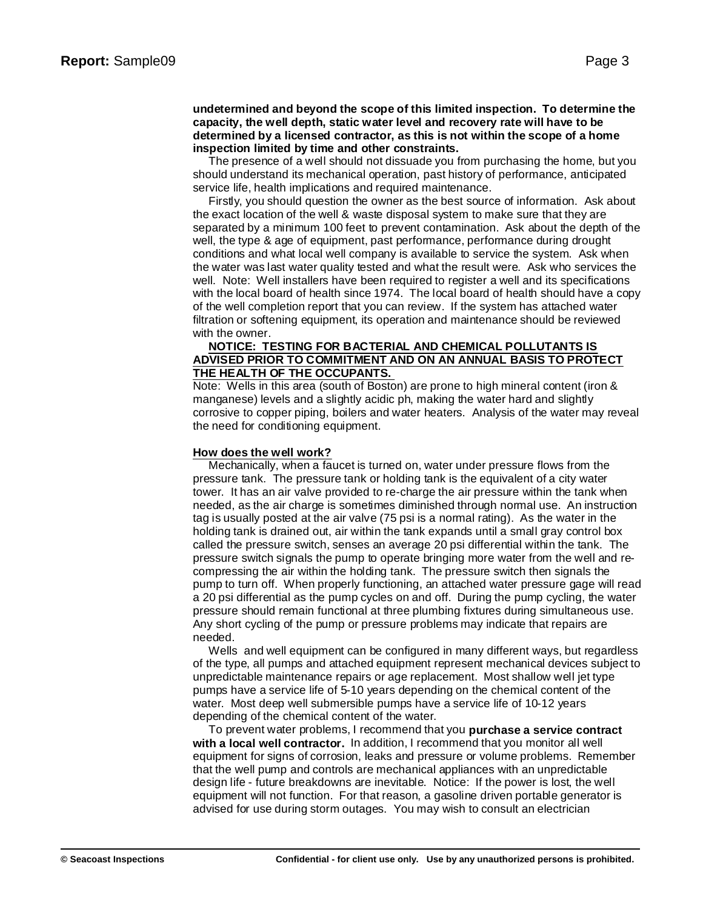### **undetermined and beyond the scope of this limited inspection. To determine the capacity, the well depth, static water level and recovery rate will have to be determined by a licensed contractor, as this is not within the scope of a home inspection limited by time and other constraints.**

The presence of a well should not dissuade you from purchasing the home, but you should understand its mechanical operation, past history of performance, anticipated service life, health implications and required maintenance.

Firstly, you should question the owner as the best source of information. Ask about the exact location of the well & waste disposal system to make sure that they are separated by a minimum 100 feet to prevent contamination. Ask about the depth of the well, the type & age of equipment, past performance, performance during drought conditions and what local well company is available to service the system. Ask when the water was last water quality tested and what the result were. Ask who services the well. Note: Well installers have been required to register a well and its specifications with the local board of health since 1974. The local board of health should have a copy of the well completion report that you can review. If the system has attached water filtration or softening equipment, its operation and maintenance should be reviewed with the owner.

### **NOTICE: TESTING FOR BACTERIAL AND CHEMICAL POLLUTANTS IS ADVISED PRIOR TO COMMITMENT AND ON AN ANNUAL BASIS TO PROTECT THE HEALTH OF THE OCCUPANTS.**

Note: Wells in this area (south of Boston) are prone to high mineral content (iron & manganese) levels and a slightly acidic ph, making the water hard and slightly corrosive to copper piping, boilers and water heaters. Analysis of the water may reveal the need for conditioning equipment.

### **How does the well work?**

Mechanically, when a faucet is turned on, water under pressure flows from the pressure tank. The pressure tank or holding tank is the equivalent of a city water tower. It has an air valve provided to re-charge the air pressure within the tank when needed, as the air charge is sometimes diminished through normal use. An instruction tag is usually posted at the air valve (75 psi is a normal rating). As the water in the holding tank is drained out, air within the tank expands until a small gray control box called the pressure switch, senses an average 20 psi differential within the tank. The pressure switch signals the pump to operate bringing more water from the well and recompressing the air within the holding tank. The pressure switch then signals the pump to turn off. When properly functioning, an attached water pressure gage will read a 20 psi differential as the pump cycles on and off. During the pump cycling, the water pressure should remain functional at three plumbing fixtures during simultaneous use. Any short cycling of the pump or pressure problems may indicate that repairs are needed.

Wells and well equipment can be configured in many different ways, but regardless of the type, all pumps and attached equipment represent mechanical devices subject to unpredictable maintenance repairs or age replacement. Most shallow well jet type pumps have a service life of 5-10 years depending on the chemical content of the water. Most deep well submersible pumps have a service life of 10-12 years depending of the chemical content of the water.

To prevent water problems, I recommend that you **purchase a service contract with a local well contractor.** In addition, I recommend that you monitor all well equipment for signs of corrosion, leaks and pressure or volume problems. Remember that the well pump and controls are mechanical appliances with an unpredictable design life - future breakdowns are inevitable. Notice: If the power is lost, the well equipment will not function. For that reason, a gasoline driven portable generator is advised for use during storm outages. You may wish to consult an electrician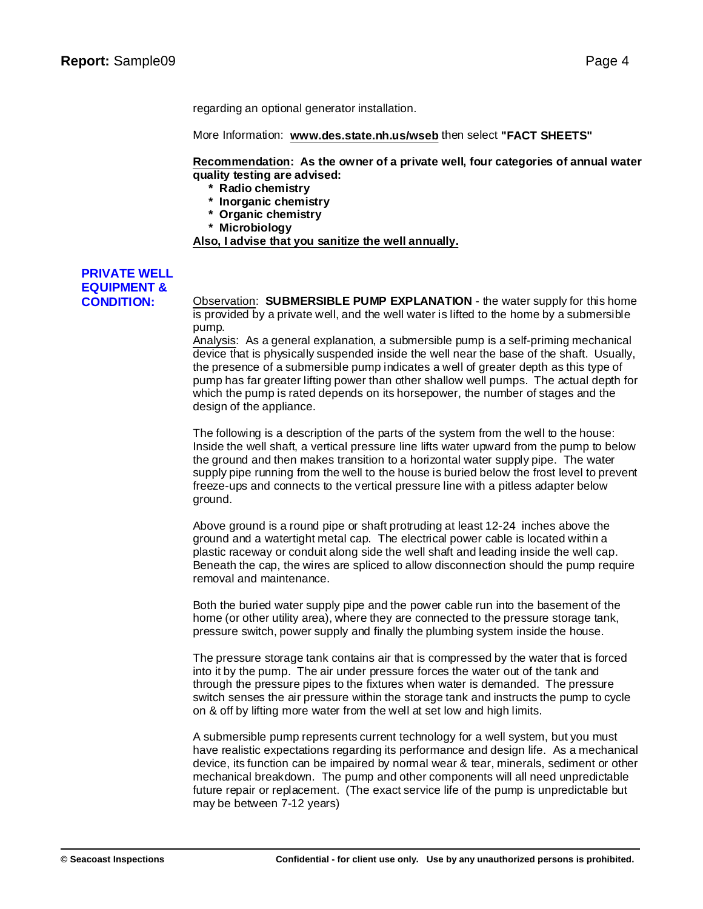regarding an optional generator installation.

More Information: **w[ww.des.state.nh.us/wseb](www.des.state.nh.us/wseb)** then select **"FACT SHEETS"**

**Recommendation: As the owner of a private well, four categories of annual water quality testing are advised:**

- **\* Radio chemistry**
- **\* Inorganic chemistry**
- **\* Organic chemistry**
- **\* Microbiology**

**Also, I advise that you sanitize the well annually.**

# **PRIVATE WELL EQUIPMENT &**

**CONDITION:** Observation: **SUBMERSIBLE PUMP EXPLANATION** - the water supply for this home is provided by a private well, and the well water is lifted to the home by a submersible pump.

> Analysis: As a general explanation, a submersible pump is a self-priming mechanical device that is physically suspended inside the well near the base of the shaft. Usually, the presence of a submersible pump indicates a well of greater depth as this type of pump has far greater lifting power than other shallow well pumps. The actual depth for which the pump is rated depends on its horsepower, the number of stages and the design of the appliance.

> The following is a description of the parts of the system from the well to the house: Inside the well shaft, a vertical pressure line lifts water upward from the pump to below the ground and then makes transition to a horizontal water supply pipe. The water supply pipe running from the well to the house is buried below the frost level to prevent freeze-ups and connects to the vertical pressure line with a pitless adapter below ground.

> Above ground is a round pipe or shaft protruding at least 12-24 inches above the ground and a watertight metal cap. The electrical power cable is located within a plastic raceway or conduit along side the well shaft and leading inside the well cap. Beneath the cap, the wires are spliced to allow disconnection should the pump require removal and maintenance.

Both the buried water supply pipe and the power cable run into the basement of the home (or other utility area), where they are connected to the pressure storage tank, pressure switch, power supply and finally the plumbing system inside the house.

The pressure storage tank contains air that is compressed by the water that is forced into it by the pump. The air under pressure forces the water out of the tank and through the pressure pipes to the fixtures when water is demanded. The pressure switch senses the air pressure within the storage tank and instructs the pump to cycle on & off by lifting more water from the well at set low and high limits.

A submersible pump represents current technology for a well system, but you must have realistic expectations regarding its performance and design life. As a mechanical device, its function can be impaired by normal wear & tear, minerals, sediment or other mechanical breakdown. The pump and other components will all need unpredictable future repair or replacement. (The exact service life of the pump is unpredictable but may be between 7-12 years)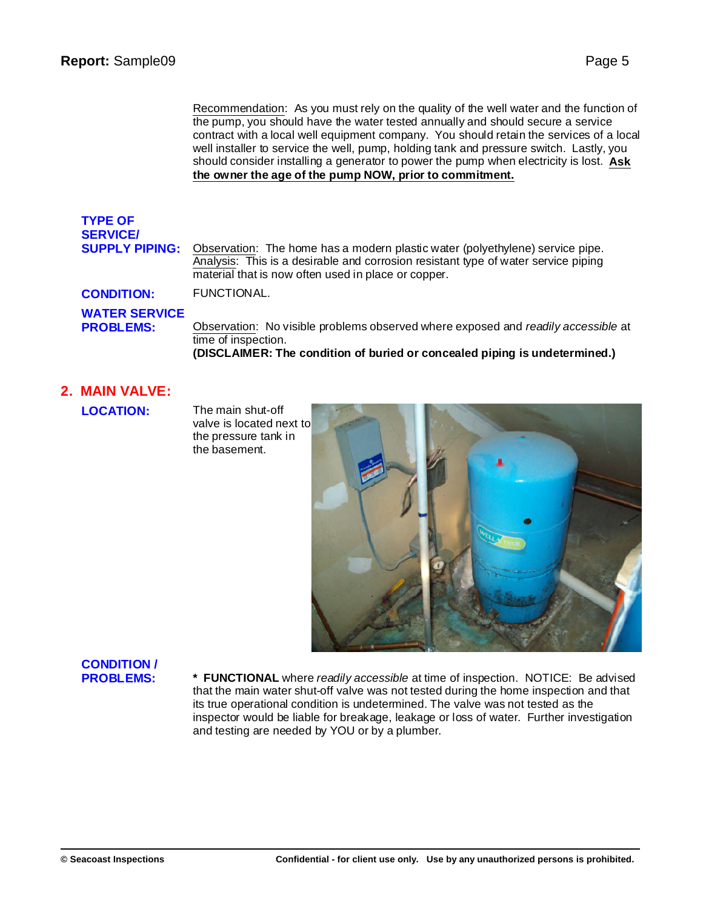Recommendation: As you must rely on the quality of the well water and the function of the pump, you should have the water tested annually and should secure a service contract with a local well equipment company. You should retain the services of a local well installer to service the well, pump, holding tank and pressure switch. Lastly, you should consider installing a generator to power the pump when electricity is lost. **Ask the owner the age of the pump NOW, prior to commitment.**

# **TYPE OF SERVICE/**

**SUPPLY PIPING:** Observation: The home has a modern plastic water (polyethylene) service pipe. Analysis: This is a desirable and corrosion resistant type of water service piping material that is now often used in place or copper.

**CONDITION:** FUNCTIONAL.

# **WATER SERVICE**

**PROBLEMS:** Observation: No visible problems observed where exposed and *readily accessible* at time of inspection.

**(DISCLAIMER: The condition of buried or concealed piping is undetermined.)**

## **2. MAIN VALVE:**

**LOCATION:** The main shut-off

valve is located next to the pressure tank in the basement.



# **CONDITION /**

**PROBLEMS: \* FUNCTIONAL** where *readily accessible* at time of inspection. NOTICE: Be advised that the main water shut-off valve was not tested during the home inspection and that its true operational condition is undetermined. The valve was not tested as the inspector would be liable for breakage, leakage or loss of water. Further investigation and testing are needed by YOU or by a plumber.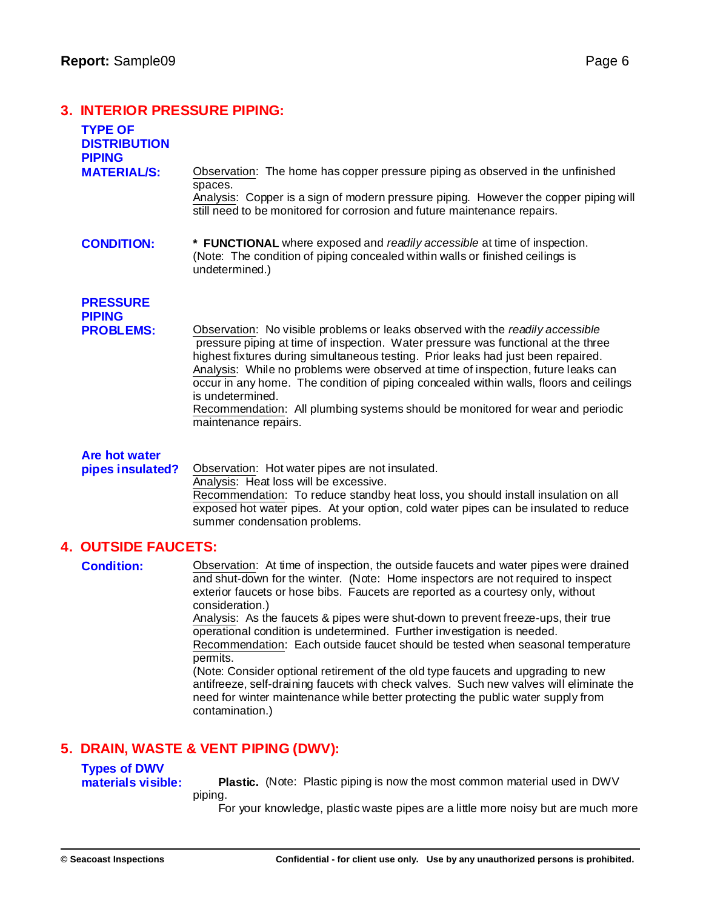## **3. INTERIOR PRESSURE PIPING:**

| 3. INTERIUR PRESSURE FIFING.                           |                                                                                                                                                                                                                                                                                                                                                                                                                                                                                                                                                                                                                                                                                                                                                                                                                                    |  |
|--------------------------------------------------------|------------------------------------------------------------------------------------------------------------------------------------------------------------------------------------------------------------------------------------------------------------------------------------------------------------------------------------------------------------------------------------------------------------------------------------------------------------------------------------------------------------------------------------------------------------------------------------------------------------------------------------------------------------------------------------------------------------------------------------------------------------------------------------------------------------------------------------|--|
| <b>TYPE OF</b><br><b>DISTRIBUTION</b><br><b>PIPING</b> |                                                                                                                                                                                                                                                                                                                                                                                                                                                                                                                                                                                                                                                                                                                                                                                                                                    |  |
| <b>MATERIAL/S:</b>                                     | Observation: The home has copper pressure piping as observed in the unfinished<br>spaces.<br>Analysis: Copper is a sign of modern pressure piping. However the copper piping will<br>still need to be monitored for corrosion and future maintenance repairs.                                                                                                                                                                                                                                                                                                                                                                                                                                                                                                                                                                      |  |
| <b>CONDITION:</b>                                      | * FUNCTIONAL where exposed and readily accessible at time of inspection.<br>(Note: The condition of piping concealed within walls or finished ceilings is<br>undetermined.)                                                                                                                                                                                                                                                                                                                                                                                                                                                                                                                                                                                                                                                        |  |
| <b>PRESSURE</b><br><b>PIPING</b><br><b>PROBLEMS:</b>   | Observation: No visible problems or leaks observed with the readily accessible<br>pressure piping at time of inspection. Water pressure was functional at the three<br>highest fixtures during simultaneous testing. Prior leaks had just been repaired.<br>Analysis: While no problems were observed at time of inspection, future leaks can<br>occur in any home. The condition of piping concealed within walls, floors and ceilings<br>is undetermined.<br>Recommendation: All plumbing systems should be monitored for wear and periodic<br>maintenance repairs.                                                                                                                                                                                                                                                              |  |
| <b>Are hot water</b><br>pipes insulated?               | Observation: Hot water pipes are not insulated.<br>Analysis: Heat loss will be excessive.<br>Recommendation: To reduce standby heat loss, you should install insulation on all<br>exposed hot water pipes. At your option, cold water pipes can be insulated to reduce<br>summer condensation problems.                                                                                                                                                                                                                                                                                                                                                                                                                                                                                                                            |  |
| <b>4. OUTSIDE FAUCETS:</b>                             |                                                                                                                                                                                                                                                                                                                                                                                                                                                                                                                                                                                                                                                                                                                                                                                                                                    |  |
| <b>Condition:</b>                                      | Observation: At time of inspection, the outside faucets and water pipes were drained<br>and shut-down for the winter. (Note: Home inspectors are not required to inspect<br>exterior faucets or hose bibs. Faucets are reported as a courtesy only, without<br>consideration.)<br>Analysis: As the faucets & pipes were shut-down to prevent freeze-ups, their true<br>operational condition is undetermined. Further investigation is needed.<br>Recommendation: Each outside faucet should be tested when seasonal temperature<br>permits.<br>(Note: Consider optional retirement of the old type faucets and upgrading to new<br>antifreeze, self-draining faucets with check valves. Such new valves will eliminate the<br>need for winter maintenance while better protecting the public water supply from<br>contamination.) |  |
| 5. DRAIN, WASTE & VENT PIPING (DWV):                   |                                                                                                                                                                                                                                                                                                                                                                                                                                                                                                                                                                                                                                                                                                                                                                                                                                    |  |
| <b>Types of DWV</b><br>materials visible:              | <b>Plastic.</b> (Note: Plastic piping is now the most common material used in DWV<br>piping.                                                                                                                                                                                                                                                                                                                                                                                                                                                                                                                                                                                                                                                                                                                                       |  |

For your knowledge, plastic waste pipes are a little more noisy but are much more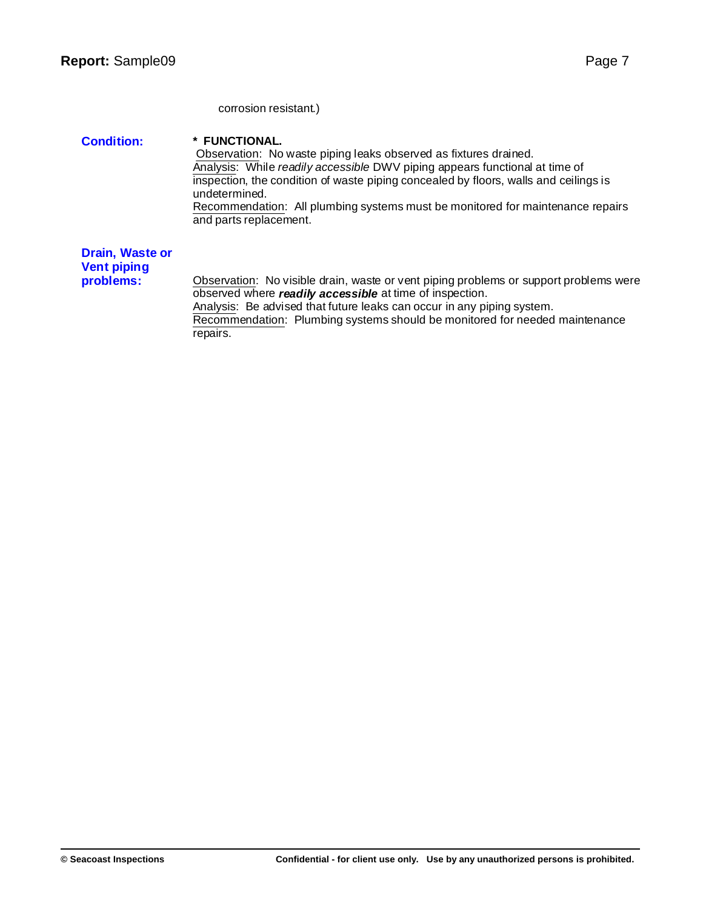corrosion resistant.)

**Condition: \* FUNCTIONAL.** Observation: No waste piping leaks observed as fixtures drained. Analysis: While *readily accessible* DWV piping appears functional at time of inspection, the condition of waste piping concealed by floors, walls and ceilings is undetermined. Recommendation: All plumbing systems must be monitored for maintenance repairs and parts replacement. **Drain, Waste or Vent piping problems:** Observation: No visible drain, waste or vent piping problems or support problems were

observed where *readily accessible* at time of inspection. Analysis: Be advised that future leaks can occur in any piping system. Recommendation: Plumbing systems should be monitored for needed maintenance repairs.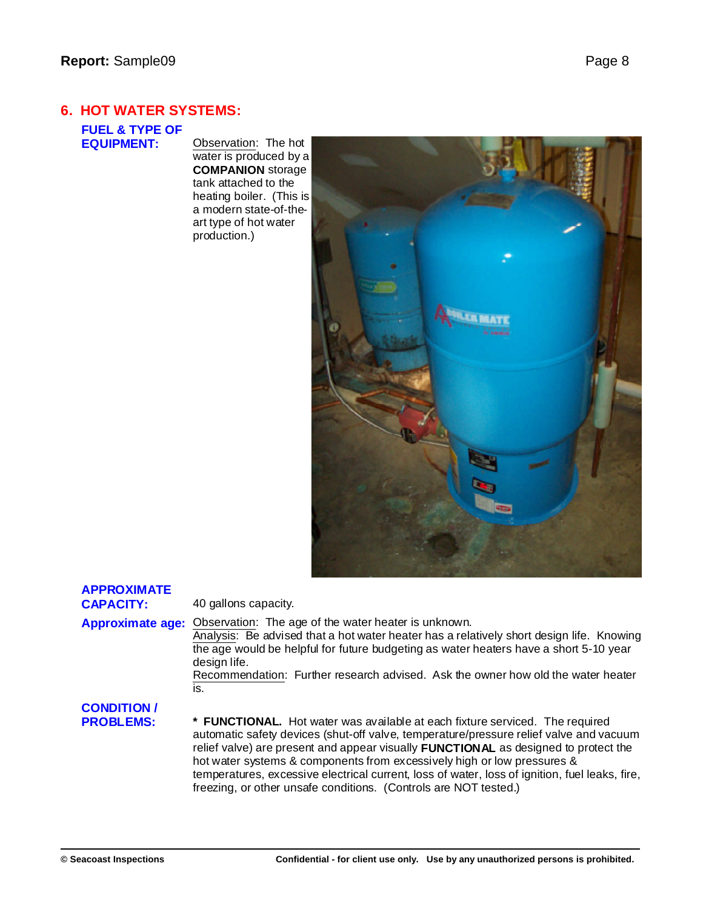## **6. HOT WATER SYSTEMS:**

**FUEL & TYPE OF**

**Observation:** The hot water is produced by a **COMPANION** storage tank attached to the heating boiler. (This is a modern state-of-theart type of hot water production.)



| <b>APPROXIMATE</b><br><b>CAPACITY:</b> | 40 gallons capacity.                                                                                                                                                                                                                                                                                                                                                                                                                                                                                                         |
|----------------------------------------|------------------------------------------------------------------------------------------------------------------------------------------------------------------------------------------------------------------------------------------------------------------------------------------------------------------------------------------------------------------------------------------------------------------------------------------------------------------------------------------------------------------------------|
| <b>Approximate age:</b>                | Observation: The age of the water heater is unknown.<br>Analysis: Be advised that a hot water heater has a relatively short design life. Knowing<br>the age would be helpful for future budgeting as water heaters have a short 5-10 year<br>design life.<br>Recommendation: Further research advised. Ask the owner how old the water heater<br>is.                                                                                                                                                                         |
| <b>CONDITION /</b><br><b>PROBLEMS:</b> | * <b>FUNCTIONAL.</b> Hot water was available at each fixture serviced. The required<br>automatic safety devices (shut-off valve, temperature/pressure relief valve and vacuum<br>relief valve) are present and appear visually <b>FUNCTIONAL</b> as designed to protect the<br>hot water systems & components from excessively high or low pressures &<br>temperatures, excessive electrical current, loss of water, loss of ignition, fuel leaks, fire,<br>freezing, or other unsafe conditions. (Controls are NOT tested.) |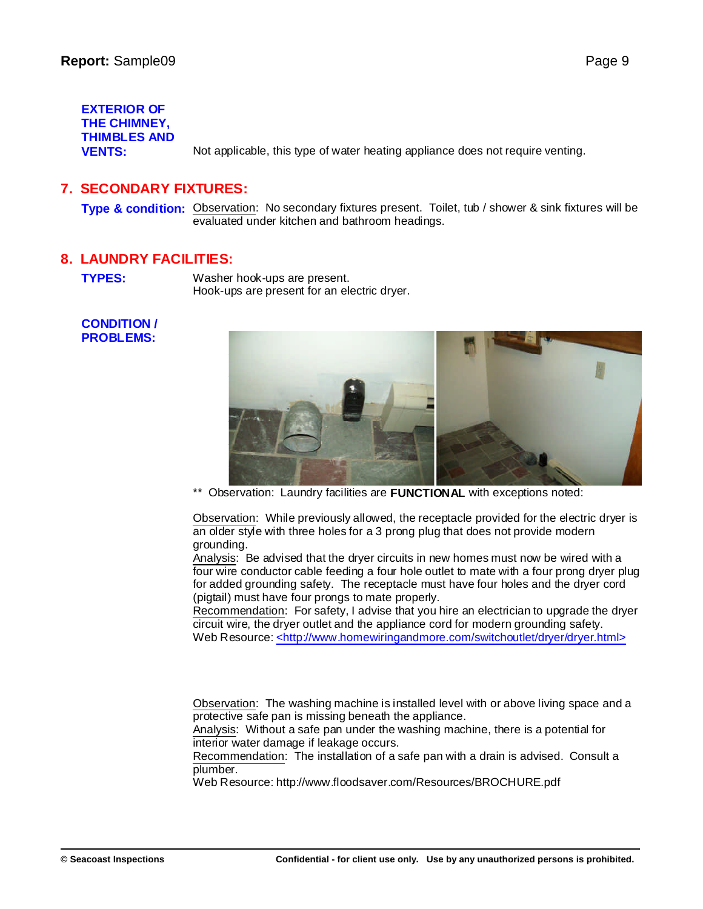**EXTERIOR OF THE CHIMNEY, THIMBLES AND VENTS:** Not applicable, this type of water heating appliance does not require venting.

## **7. SECONDARY FIXTURES:**

**Type & condition:** Observation: No secondary fixtures present. Toilet, tub / shower & sink fixtures will be evaluated under kitchen and bathroom headings.

## **8. LAUNDRY FACILITIES:**

**TYPES:** Washer hook-ups are present. Hook-ups are present for an electric dryer.

### **CONDITION / PROBLEMS:**



Observation: Laundry facilities are **FUNCTIONAL** with exceptions noted:

Observation: While previously allowed, the receptacle provided for the electric dryer is an older style with three holes for a 3 prong plug that does not provide modern grounding.

Analysis: Be advised that the dryer circuits in new homes must now be wired with a four wire conductor cable feeding a four hole outlet to mate with a four prong dryer plug for added grounding safety. The receptacle must have four holes and the dryer cord (pigtail) must have four prongs to mate properly.

Recommendation: For safety, I advise that you hire an electrician to upgrade the dryer circuit wire, the dryer outlet and the appliance cord for modern grounding safety. Web Resource: <[http://ww](http://www.homewiringandmore.com/switchoutlet/dryer/dryer.html>)[w.homewiringandmore.com/switchoutlet/dryer/dryer.html>](www.homewiringandmore.com/switchoutlet/dryer/dryer.html>)

Observation: The washing machine is installed level with or above living space and a protective safe pan is missing beneath the appliance.

Analysis: Without a safe pan under the washing machine, there is a potential for interior water damage if leakage occurs.

Recommendation: The installation of a safe pan with a drain is advised. Consult a plumber.

Web Resource: [http://w](http://www.floodsaver.com/Resources/BROCHURE.pdf)[ww.floodsaver.com/Resources/BROCHURE.pdf](www.floodsaver.com/Resources/BROCHURE.pdf)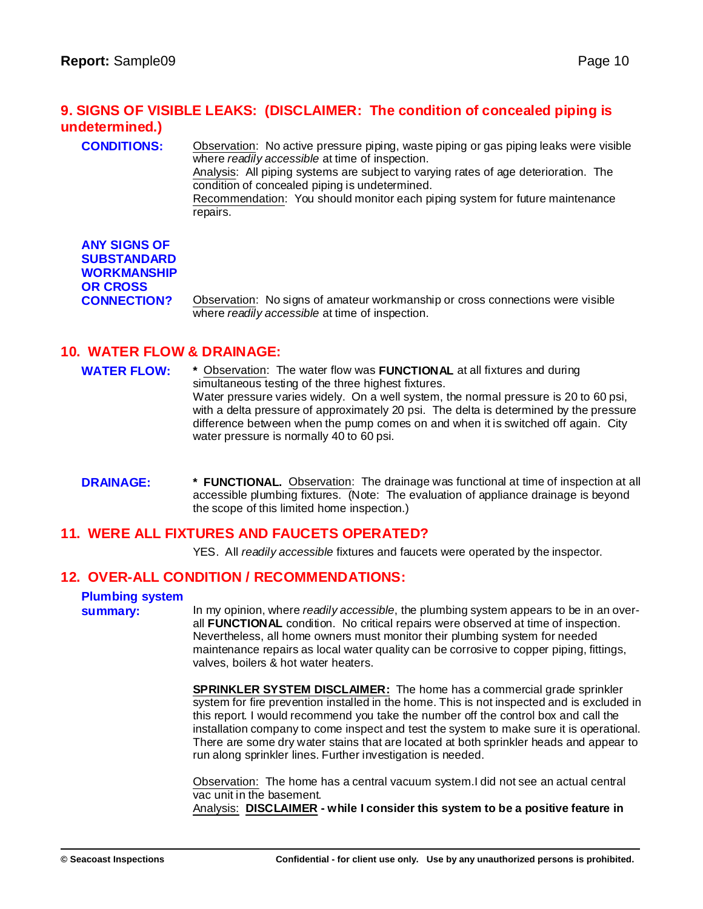## **9. SIGNS OF VISIBLE LEAKS: (DISCLAIMER: The condition of concealed piping is undetermined.)**

**CONDITIONS:** Observation: No active pressure piping, waste piping or gas piping leaks were visible where *readily accessible* at time of inspection. Analysis: All piping systems are subject to varying rates of age deterioration. The

condition of concealed piping is undetermined.

Recommendation: You should monitor each piping system for future maintenance repairs.

| <b>ANY SIGNS OF</b> |
|---------------------|
| <b>SUBSTANDARD</b>  |
| <b>WORKMANSHIP</b>  |
| <b>OR CROSS</b>     |
| <b>CONNECTION?</b>  |

**Observation: No signs of amateur workmanship or cross connections were visible** where *readily accessible* at time of inspection.

## **10. WATER FLOW & DRAINAGE:**

- **WATER FLOW: \*** Observation: The water flow was **FUNCTIONAL** at all fixtures and during simultaneous testing of the three highest fixtures. Water pressure varies widely. On a well system, the normal pressure is 20 to 60 psi, with a delta pressure of approximately 20 psi. The delta is determined by the pressure difference between when the pump comes on and when it is switched off again. City water pressure is normally 40 to 60 psi.
- **DRAINAGE: \* FUNCTIONAL.** Observation: The drainage was functional at time of inspection at all accessible plumbing fixtures. (Note: The evaluation of appliance drainage is beyond the scope of this limited home inspection.)

## **11. WERE ALL FIXTURES AND FAUCETS OPERATED?**

YES. All *readily accessible* fixtures and faucets were operated by the inspector.

## **12. OVER-ALL CONDITION / RECOMMENDATIONS:**

## **Plumbing system**

**summary:** In my opinion, where *readily accessible*, the plumbing system appears to be in an overall **FUNCTIONAL** condition. No critical repairs were observed at time of inspection. Nevertheless, all home owners must monitor their plumbing system for needed maintenance repairs as local water quality can be corrosive to copper piping, fittings, valves, boilers & hot water heaters.

> **SPRINKLER SYSTEM DISCLAIMER:** The home has a commercial grade sprinkler system for fire prevention installed in the home. This is not inspected and is excluded in this report. I would recommend you take the number off the control box and call the installation company to come inspect and test the system to make sure it is operational. There are some dry water stains that are located at both sprinkler heads and appear to run along sprinkler lines. Further investigation is needed.

Observation: The home has a central vacuum system.I did not see an actual central vac unit in the basement.

Analysis: **DISCLAIMER - while I consider this system to be a positive feature in**